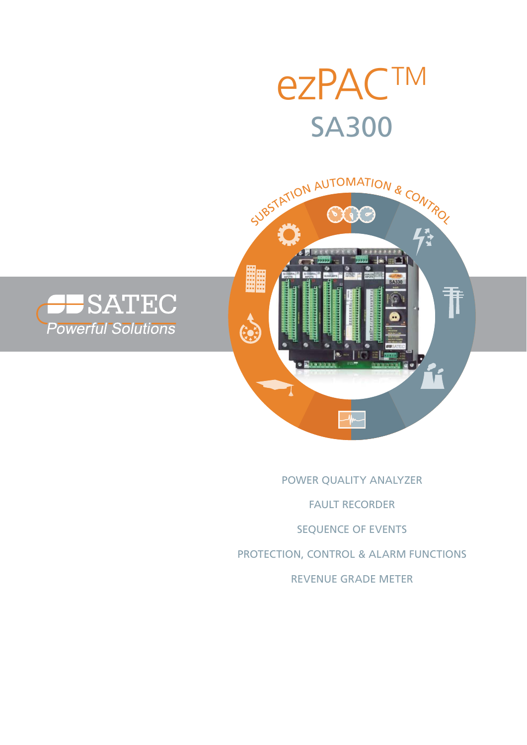





# POWER QUALITY ANALYZER FAULT RECORDER SEQUENCE OF EVENTS PROTECTION, CONTROL & ALARM FUNCTIONS REVENUE GRADE METER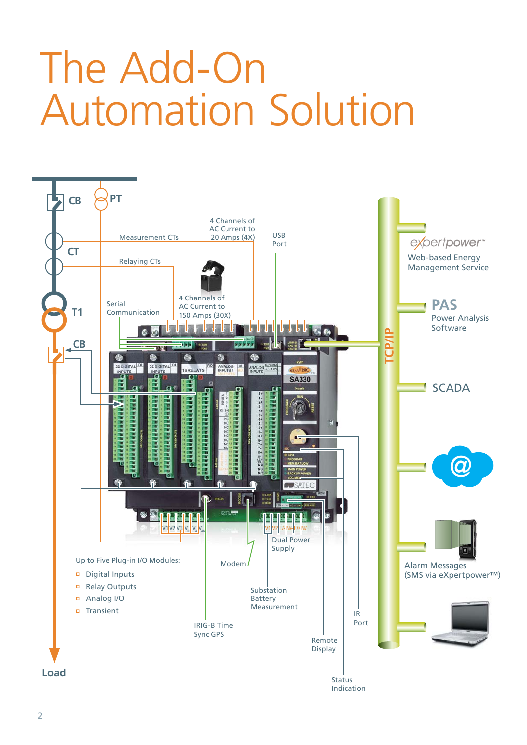# The Add-On Automation Solution

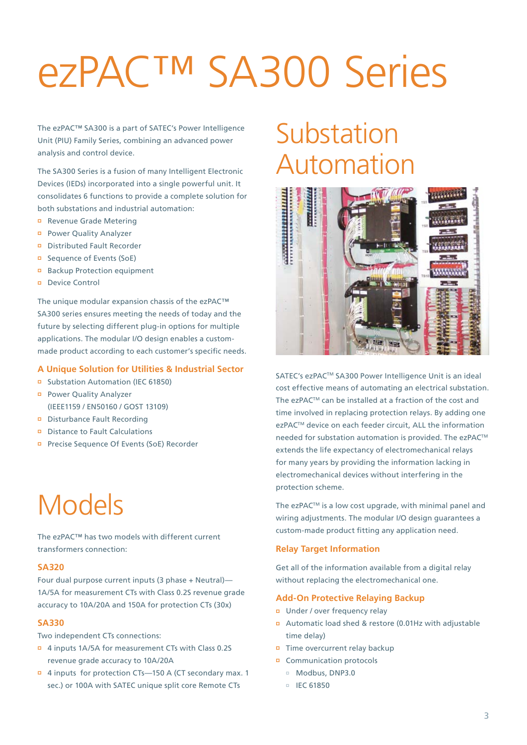# ezPAC™ SA300 Series

The ezPAC™ SA300 is a part of SATEC's Power Intelligence Unit (PIU) Family Series, combining an advanced power analysis and control device.

The SA300 Series is a fusion of many Intelligent Electronic Devices (IEDs) incorporated into a single powerful unit. It consolidates 6 functions to provide a complete solution for both substations and industrial automation:

- Revenue Grade Metering
- Power Quality Analyzer
- Distributed Fault Recorder
- Sequence of Events (SoE)
- Backup Protection equipment
- Device Control

The unique modular expansion chassis of the ezPAC™ SA300 series ensures meeting the needs of today and the future by selecting different plug-in options for multiple applications. The modular I/O design enables a custommade product according to each customer's specific needs.

# **A Unique Solution for Utilities & Industrial Sector**

- Substation Automation (IEC 61850)
- Power Quality Analyzer (IEEE1159 / EN50160 / GOST 13109)
- Disturbance Fault Recording
- Distance to Fault Calculations
- Precise Sequence Of Events (SoE) Recorder

# Models

The ezPAC™ has two models with different current transformers connection:

# **SA320**

Four dual purpose current inputs (3 phase + Neutral)— 1A/5A for measurement CTs with Class 0.2S revenue grade accuracy to 10A/20A and 150A for protection CTs (30x)

## **SA330**

Two independent CTs connections:

- 4 inputs 1A/5A for measurement CTs with Class 0.2S revenue grade accuracy to 10A/20A
- 4 inputs for protection CTs—150 A (CT secondary max. 1 sec.) or 100A with SATEC unique split core Remote CTs

# **Substation** Automation



SATEC's ezPAC<sup>™</sup> SA300 Power Intelligence Unit is an ideal cost effective means of automating an electrical substation. The ezPACTM can be installed at a fraction of the cost and time involved in replacing protection relays. By adding one ezPAC<sup>™</sup> device on each feeder circuit, ALL the information needed for substation automation is provided. The ezPAC<sup>™</sup> extends the life expectancy of electromechanical relays for many years by providing the information lacking in electromechanical devices without interfering in the protection scheme.

The ezPAC™ is a low cost upgrade, with minimal panel and wiring adjustments. The modular I/O design guarantees a custom-made product fitting any application need.

# **Relay Target Information**

Get all of the information available from a digital relay without replacing the electromechanical one.

### **Add-On Protective Relaying Backup**

- Under / over frequency relay
- Automatic load shed & restore (0.01Hz with adjustable time delay)
- $\overline{p}$  Time overcurrent relay backup
- Communication protocols
	- Modbus, DNP3.0
	- $I = IFC 61850$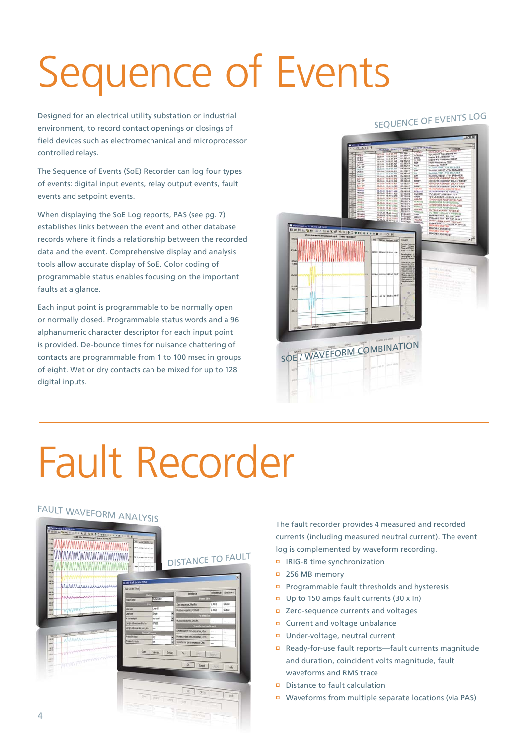# Sequence of Events

Designed for an electrical utility substation or industrial environment, to record contact openings or closings of field devices such as electromechanical and microprocessor controlled relays.

The Sequence of Events (SoE) Recorder can log four types of events: digital input events, relay output events, fault events and setpoint events.

When displaying the SoE Log reports, PAS (see pg. 7) establishes links between the event and other database records where it finds a relationship between the recorded data and the event. Comprehensive display and analysis tools allow accurate display of SoE. Color coding of programmable status enables focusing on the important faults at a glance.

Each input point is programmable to be normally open or normally closed. Programmable status words and a 96 alphanumeric character descriptor for each input point is provided. De-bounce times for nuisance chattering of contacts are programmable from 1 to 100 msec in groups of eight. Wet or dry contacts can be mixed for up to 128 digital inputs.

# SEQUENCE OF EVENTS LOG



# Fault Recorder

# FAULT WAVEFORM ANALYSIS

| 11.59<br>11.28<br><b>INdy</b>                                                                                                                                                                                                                      | $\mathcal{W}_\mathbb{R}$<br><b>ABLANCIAN</b><br>$\sim$<br>residenciado que |                                  | DISTANCE TO FAULT                                               |        |                             |
|----------------------------------------------------------------------------------------------------------------------------------------------------------------------------------------------------------------------------------------------------|----------------------------------------------------------------------------|----------------------------------|-----------------------------------------------------------------|--------|-----------------------------|
| 44,267<br>$-00.3$<br><b>Americ</b><br>www.communication<br>ars.<br><b>CELL</b><br>MMMMmminn<br><b>AMA</b>                                                                                                                                          | sa 100-Fash Locater Setup<br>Failtcay Seg                                  |                                  |                                                                 |        | $\propto$                   |
| an si<br>est s-                                                                                                                                                                                                                                    | Text.                                                                      |                                  | Impediatoire                                                    |        | Resistance <b>Reactance</b> |
| <u>المستحدث المستحدث المستقيمة والمستقيمة والمستقيمة والمستقيمة والمستقيمة والمستقيمة والمستقيمة من المستقيمة والمستقيمة والمستقيمة والمستقيمة والمستقيمة والمستقيمة والمستقيمة والمستقيمة والمستقيمة والمستقيمة والمستقيمة وال</u><br><b>AMAN</b> | <b>Selection</b>                                                           | Patted 67                        | <b>Power Line</b>                                               |        |                             |
| ant to<br>28.9                                                                                                                                                                                                                                     | E.                                                                         |                                  | Zero-organize, Ohnikm                                           | 0.4000 | 0.9000                      |
| WWWW<br><b>Amer</b>                                                                                                                                                                                                                                | <b>Line name</b>                                                           | Line 45                          | <b>Poston cesares Oleiler</b>                                   | 0000.0 | 0.7500                      |
| 18.94                                                                                                                                                                                                                                              | Usetee<br><b>Witness rest</b>                                              | Srak<br>×<br>š<br><b>Nd</b> seed | <b>Fundel Line</b>                                              |        |                             |
|                                                                                                                                                                                                                                                    | terghist the power line, ker                                               | 57,600                           | <b>Mitailepetece Onde</b>                                       |        | -                           |
| <b>WEIGHT</b>                                                                                                                                                                                                                                      | Longhut the paneloi parts, los                                             | ÷                                | Transformer un Branch                                           |        |                             |
| 24.96<br><b>VEW</b><br><b>William</b><br>330100                                                                                                                                                                                                    | <b>CONTRACTOR</b>                                                          |                                  | Line to branch zero-sequence, Ohm.                              |        | ÷                           |
| <b>AAAAAAN</b><br>位置字                                                                                                                                                                                                                              | <b>Protection Reserv</b><br><b>Breaker Corners</b>                         | lto<br>ž<br>be<br>٠              | Fover syden pro-sequence, Ohn<br>Transformer pers-pequence, Ohm |        |                             |
| yes:<br>28.7<br><b>CONTRACTORY</b><br>$-10$<br>sald i<br>sit it                                                                                                                                                                                    | Open                                                                       | See ac.<br>Data                  | Piet<br>m                                                       | Ferre  | ÷                           |
| Williamsterwomen<br><b>SOFTWARE</b><br><b>SIL</b><br>$-1$<br>÷                                                                                                                                                                                     |                                                                            |                                  | $\alpha$<br>Earcel                                              | Rail   | Help                        |
|                                                                                                                                                                                                                                                    |                                                                            |                                  |                                                                 |        |                             |

The fault recorder provides 4 measured and recorded currents (including measured neutral current). The event log is complemented by waveform recording.

- IRIG-B time synchronization
- <sup>256</sup> MB memory
- Programmable fault thresholds and hysteresis
- Up to 150 amps fault currents (30 x In)
- Zero-sequence currents and voltages
- Current and voltage unbalance
- Under-voltage, neutral current
- Ready-for-use fault reports—fault currents magnitude and duration, coincident volts magnitude, fault waveforms and RMS trace
- Distance to fault calculation
- Waveforms from multiple separate locations (via PAS)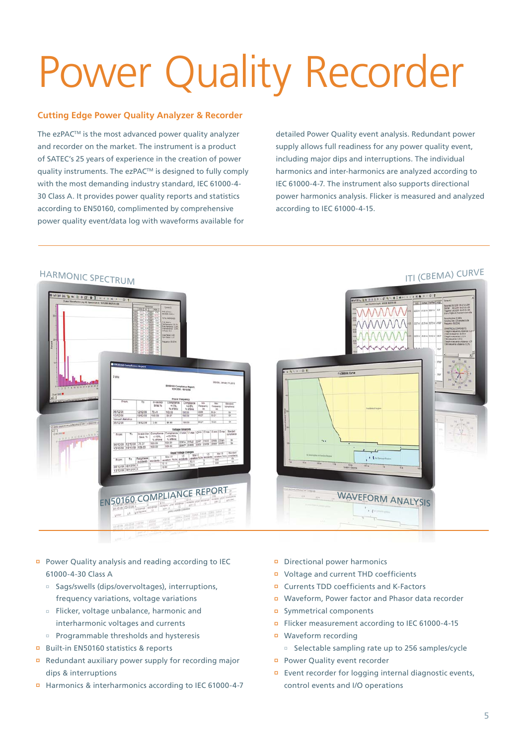# Power Quality Recorder

# **Cutting Edge Power Quality Analyzer & Recorder**

The ezPAC<sup>™</sup> is the most advanced power quality analyzer and recorder on the market. The instrument is a product of SATEC's 25 years of experience in the creation of power quality instruments. The ezPAC™ is designed to fully comply with the most demanding industry standard, IEC 61000-4- 30 Class A. It provides power quality reports and statistics according to EN50160, complimented by comprehensive power quality event/data log with waveforms available for

detailed Power Quality event analysis. Redundant power supply allows full readiness for any power quality event, including major dips and interruptions. The individual harmonics and inter-harmonics are analyzed according to IEC 61000-4-7. The instrument also supports directional power harmonics analysis. Flicker is measured and analyzed according to IEC 61000-4-15.



- Power Quality analysis and reading according to IEC 61000-4-30 Class A
	- Sags/swells (dips/overvoltages), interruptions, frequency variations, voltage variations
	- Flicker, voltage unbalance, harmonic and interharmonic voltages and currents
	- Programmable thresholds and hysteresis
- Built-in EN50160 statistics & reports
- Redundant auxiliary power supply for recording major dips & interruptions
- Harmonics & interharmonics according to IEC 61000-4-7
- Directional power harmonics
- Voltage and current THD coefficients
- Currents TDD coefficients and K-Factors
- Waveform, Power factor and Phasor data recorder
- Symmetrical components
- Flicker measurement according to IEC 61000-4-15
- Waveform recording □ Selectable sampling rate up to 256 samples/cycle
- Power Quality event recorder
- Event recorder for logging internal diagnostic events, control events and I/O operations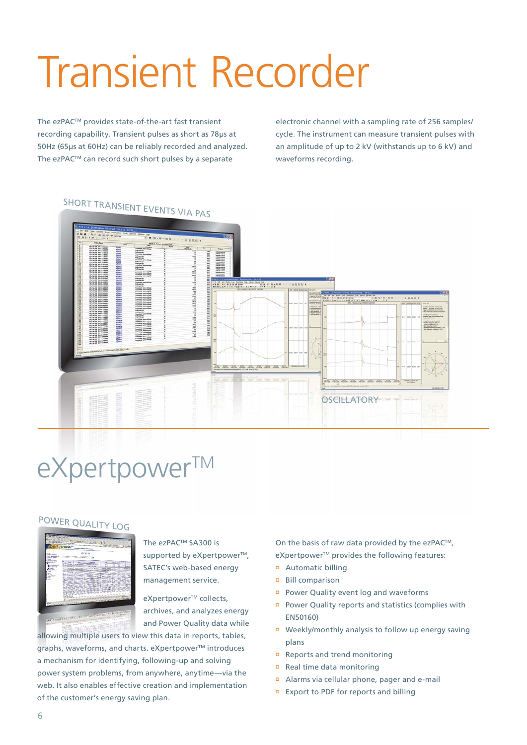# Transient Recorder

The ezPAC<sup>™</sup> provides state-of-the-art fast transient recording capability. Transient pulses as short as 78μs at 50Hz (65μs at 60Hz) can be reliably recorded and analyzed. The ezPAC™ can record such short pulses by a separate

electronic channel with a sampling rate of 256 samples/ cycle. The instrument can measure transient pulses with an amplitude of up to 2 kV (withstands up to 6 kV) and waveforms recording.



# eXpertpower™

# POWER QUALITY LOG



The ezPAC™ SA300 is supported by eXpertpower<sup>™</sup>, SATEC's web-based energy management service.

eXpertpower<sup>™</sup> collects, archives, and analyzes energy and Power Quality data while

allowing multiple users to view this data in reports, tables, graphs, waveforms, and charts, eXpertpower™ introduces a mechanism for identifying, following-up and solving power system problems, from anywhere, anytime—via the web. It also enables effective creation and implementation of the customer's energy saving plan.

On the basis of raw data provided by the ezPAC<sup>™</sup>, eXpertpower<sup>™</sup> provides the following features:

- Automatic billing
- Bill comparison
- Power Quality event log and waveforms
- Power Quality reports and statistics (complies with EN50160)
- Weekly/monthly analysis to follow up energy saving plans
- Reports and trend monitoring
- Real time data monitoring
- Alarms via cellular phone, pager and e-mail
- Export to PDF for reports and billing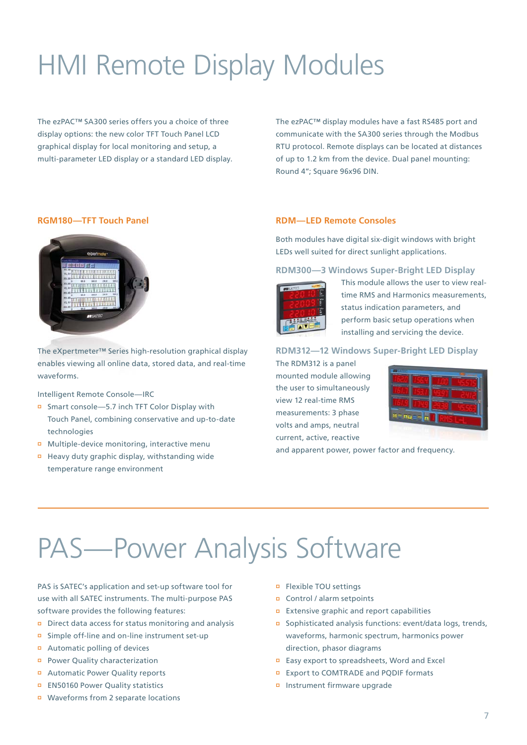# HMI Remote Display Modules

The ezPAC™ SA300 series offers you a choice of three display options: the new color TFT Touch Panel LCD graphical display for local monitoring and setup, a multi-parameter LED display or a standard LED display. The ezPAC™ display modules have a fast RS485 port and communicate with the SA300 series through the Modbus RTU protocol. Remote displays can be located at distances of up to 1.2 km from the device. Dual panel mounting: Round 4"; Square 96x96 DIN.

# **RGM180—TFT Touch Panel**



The eXpertmeter™ Series high-resolution graphical display enables viewing all online data, stored data, and real-time waveforms.

Intelligent Remote Console—IRC

- Smart console—5.7 inch TFT Color Display with Touch Panel, combining conservative and up-to-date technologies
- Multiple-device monitoring, interactive menu
- Heavy duty graphic display, withstanding wide temperature range environment

# **RDM—LED Remote Consoles**

Both modules have digital six-digit windows with bright LEDs well suited for direct sunlight applications.

**RDM300—3 Windows Super-Bright LED Display**



This module allows the user to view realtime RMS and Harmonics measurements, status indication parameters, and perform basic setup operations when installing and servicing the device.

#### **RDM312—12 Windows Super-Bright LED Display**

The RDM312 is a panel mounted module allowing the user to simultaneously view 12 real-time RMS measurements: 3 phase volts and amps, neutral current, active, reactive



and apparent power, power factor and frequency.

# PAS—Power Analysis Software

PAS is SATEC's application and set-up software tool for use with all SATEC instruments. The multi-purpose PAS software provides the following features:

- Direct data access for status monitoring and analysis
- Simple off-line and on-line instrument set-up
- Automatic polling of devices
- Power Quality characterization
- Automatic Power Quality reports
- EN50160 Power Quality statistics
- Waveforms from 2 separate locations
- Flexible TOU settings
- Control / alarm setpoints
- **Extensive graphic and report capabilities**
- Sophisticated analysis functions: event/data logs, trends, waveforms, harmonic spectrum, harmonics power direction, phasor diagrams
- Easy export to spreadsheets, Word and Excel
- **EXport to COMTRADE and PQDIF formats**
- Instrument firmware upgrade

7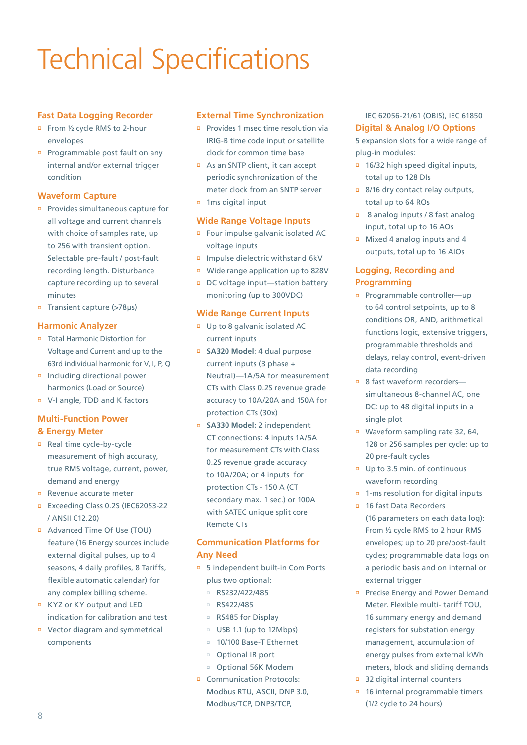# Technical Specifications

# **Fast Data Logging Recorder**

- From ½ cycle RMS to 2-hour envelopes
- Programmable post fault on any internal and/or external trigger condition

# **Waveform Capture**

- Provides simultaneous capture for all voltage and current channels with choice of samples rate, up to 256 with transient option. Selectable pre-fault / post-fault recording length. Disturbance capture recording up to several minutes
- Transient capture (>78μs)

# **Harmonic Analyzer**

- Total Harmonic Distortion for Voltage and Current and up to the 63rd individual harmonic for V, I, P, Q
- Including directional power harmonics (Load or Source)
- V-I angle, TDD and K factors

# **Multi-Function Power & Energy Meter**

- Real time cycle-by-cycle measurement of high accuracy, true RMS voltage, current, power, demand and energy
- Revenue accurate meter
- Exceeding Class 0.2S (IEC62053-22 / ANSII C12.20)
- Advanced Time Of Use (TOU) feature (16 Energy sources include external digital pulses, up to 4 seasons, 4 daily profiles, 8 Tariffs, flexible automatic calendar) for any complex billing scheme.
- KYZ or KY output and LED indication for calibration and test
- Vector diagram and symmetrical components

# **External Time Synchronization**

- **Provides 1 msec time resolution via** IRIG-B time code input or satellite clock for common time base
- As an SNTP client, it can accept periodic synchronization of the meter clock from an SNTP server
- 1ms digital input

## **Wide Range Voltage Inputs**

- Four impulse galvanic isolated AC voltage inputs
- Impulse dielectric withstand 6kV
- Wide range application up to 828V
- □ DC voltage input—station battery monitoring (up to 300VDC)

## **Wide Range Current Inputs**

- Up to 8 galvanic isolated AC current inputs
- **SA320 Model**: 4 dual purpose current inputs (3 phase + Neutral)—1A/5A for measurement CTs with Class 0.2S revenue grade accuracy to 10A/20A and 150A for protection CTs (30x)
- **SA330 Model:** 2 independent CT connections: 4 inputs 1A/5A for measurement CTs with Class 0.2S revenue grade accuracy to 10A/20A; or 4 inputs for protection CTs - 150 A (CT secondary max. 1 sec.) or 100A with SATEC unique split core Remote CTs

# **Communication Platforms for Any Need**

- 5 independent built-in Com Ports plus two optional:
	- $R$ S232/422/485
	- $B = RS422/485$
	- □ RS485 for Display
	- USB 1.1 (up to 12Mbps)
	- □ 10/100 Base-T Ethernet
	- Optional IR port
- Optional 56K Modem
- Communication Protocols: Modbus RTU, ASCII, DNP 3.0, Modbus/TCP, DNP3/TCP,

# IEC 62056-21/61 (OBIS), IEC 61850 **Digital & Analog I/O Options**

5 expansion slots for a wide range of plug-in modules:

- 16/32 high speed digital inputs, total up to 128 DIs
- 8/16 dry contact relay outputs, total up to 64 ROs
- 8 analog inputs / 8 fast analog input, total up to 16 AOs
- Mixed 4 analog inputs and 4 outputs, total up to 16 AIOs

# **Logging, Recording and Programming**

- Programmable controller—up to 64 control setpoints, up to 8 conditions OR, AND, arithmetical functions logic, extensive triggers, programmable thresholds and delays, relay control, event-driven data recording
- 8 fast waveform recorderssimultaneous 8-channel AC, one DC: up to 48 digital inputs in a single plot
- Waveform sampling rate 32, 64, 128 or 256 samples per cycle; up to 20 pre-fault cycles
- Up to 3.5 min. of continuous waveform recording
- 1-ms resolution for digital inputs
- 16 fast Data Recorders (16 parameters on each data log): From ½ cycle RMS to 2 hour RMS envelopes; up to 20 pre/post-fault cycles; programmable data logs on a periodic basis and on internal or external trigger
- Precise Energy and Power Demand Meter. Flexible multi- tariff TOU, 16 summary energy and demand registers for substation energy management, accumulation of energy pulses from external kWh meters, block and sliding demands
- 32 digital internal counters
- 16 internal programmable timers (1/2 cycle to 24 hours)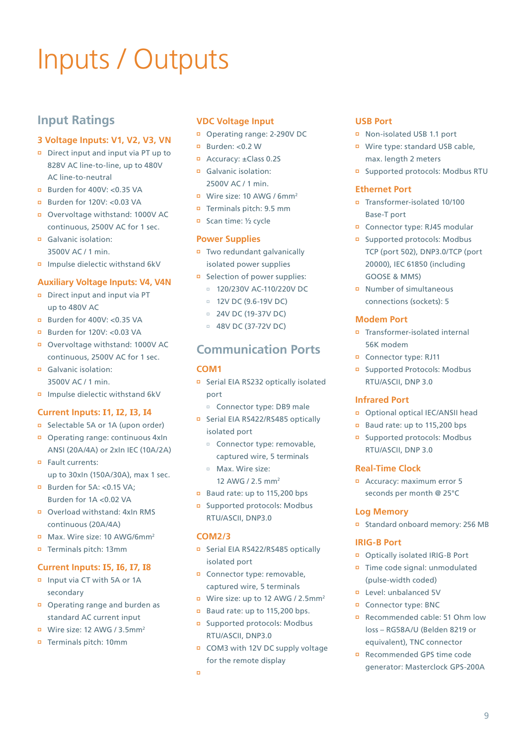# Inputs / Outputs

# **Input Ratings**

# **3 Voltage Inputs: V1, V2, V3, VN**

- Direct input and input via PT up to 828V AC line-to-line, up to 480V AC line-to-neutral
- **Burden for 400V: <0.35 VA**
- **Burden for 120V: <0.03 VA**
- Overvoltage withstand: 1000V AC continuous, 2500V AC for 1 sec.
- Galvanic isolation: 3500V AC / 1 min.
- Impulse dielectic withstand 6kV

## **Auxiliary Voltage Inputs: V4, V4N**

- Direct input and input via PT up to 480V AC
- Burden for 400V: <0.35 VA
- Burden for 120V: <0.03 VA
- Overvoltage withstand: 1000V AC continuous, 2500V AC for 1 sec.
- Galvanic isolation: 3500V AC / 1 min.
- Impulse dielectic withstand 6kV

### **Current Inputs: I1, I2, I3, I4**

- Selectable 5A or 1A (upon order)
- Operating range: continuous 4xIn ANSI (20A/4A) or 2xIn IEC (10A/2A)
- **D** Fault currents: up to 30xIn (150A/30A), max 1 sec.
- Burden for 5A: < 0.15 VA: Burden for 1A <0.02 VA
- Overload withstand: 4xIn RMS continuous (20A/4A)
- Max. Wire size: 10 AWG/6mm2
- Terminals pitch: 13mm

## **Current Inputs: I5, I6, I7, I8**

- Input via CT with 5A or 1A secondary
- Operating range and burden as standard AC current input
- Wire size: 12 AWG / 3.5mm2
- Terminals pitch: 10mm

## **VDC Voltage Input**

- Operating range: 2-290V DC
- **Burden: <0.2 W**
- Accuracy: ±Class 0.2S
- Galvanic isolation: 2500V AC / 1 min.
- Wire size: 10 AWG / 6mm2
- Terminals pitch: 9.5 mm
- Scan time: ½ cycle

## **Power Supplies**

- Two redundant galvanically isolated power supplies
- Selection of power supplies:
	- □ 120/230V AC-110/220V DC
	- $12V$  DC (9.6-19V DC)
	- 24V DC (19-37V DC)
	- $= 48V$  DC (37-72V DC)

# **Communication Ports**

# **COM1**

- □ Serial EIA RS232 optically isolated port
	- Connector type: DB9 male
- □ Serial EIA RS422/RS485 optically isolated port
	- Connector type: removable, captured wire, 5 terminals
	- Max. Wire size: 12 AWG / 2.5 mm2
- Baud rate: up to 115,200 bps
- Supported protocols: Modbus RTU/ASCII, DNP3.0

## **COM2/3**

- Serial EIA RS422/RS485 optically isolated port
- Connector type: removable, captured wire, 5 terminals
- Wire size: up to 12 AWG / 2.5mm<sup>2</sup>
- Baud rate: up to 115,200 bps.
- Supported protocols: Modbus RTU/ASCII, DNP3.0
- COM3 with 12V DC supply voltage for the remote display
- $\blacksquare$

# **USB Port**

- Non-isolated USB 1.1 port
- Wire type: standard USB cable, max. length 2 meters
- Supported protocols: Modbus RTU

# **Ethernet Port**

- Transformer-isolated 10/100 Base-T port
- Connector type: RJ45 modular
- Supported protocols: Modbus TCP (port 502), DNP3.0/TCP (port 20000), IEC 61850 (including GOOSE & MMS)
- Number of simultaneous connections (sockets): 5

## **Modem Port**

- Transformer-isolated internal 56K modem
- Connector type: RJ11
- Supported Protocols: Modbus RTU/ASCII, DNP 3.0

### **Infrared Port**

- Optional optical IEC/ANSII head
- Baud rate: up to 115,200 bps
- Supported protocols: Modbus RTU/ASCII, DNP 3.0

### **Real-Time Clock**

 Accuracy: maximum error 5 seconds per month @ 25°C

### **Log Memory**

Standard onboard memory: 256 MB

### **IRIG-B Port**

- Optically isolated IRIG-B Port
- Time code signal: unmodulated (pulse-width coded)
- Level: unbalanced 5V
- Connector type: BNC
- Recommended cable: 51 Ohm low loss – RG58A/U (Belden 8219 or equivalent), TNC connector
- Recommended GPS time code generator: Masterclock GPS-200A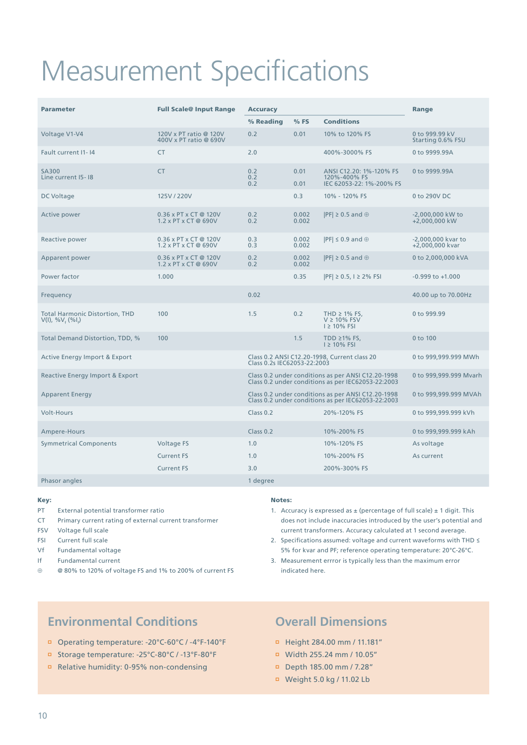# Measurement Specifications

| <b>Parameter</b>                                                       | <b>Full Scale@ Input Range</b>                   | <b>Accuracy</b>             |                |                                                                                                          | Range                                 |
|------------------------------------------------------------------------|--------------------------------------------------|-----------------------------|----------------|----------------------------------------------------------------------------------------------------------|---------------------------------------|
|                                                                        |                                                  | % Reading                   | $%$ FS         | <b>Conditions</b>                                                                                        |                                       |
| Voltage V1-V4                                                          | 120V x PT ratio @ 120V<br>400V x PT ratio @ 690V | 0.2                         | 0.01           | 10% to 120% FS                                                                                           | 0 to 999.99 kV<br>Starting 0.6% FSU   |
| Fault current I1-14                                                    | <b>CT</b>                                        | 2.0                         |                | 400%-3000% FS                                                                                            | 0 to 9999.99A                         |
| <b>SA300</b><br>Line current I5-18                                     | <b>CT</b>                                        | 0.2<br>0.2<br>0.2           | 0.01<br>0.01   | ANSI C12.20: 1%-120% FS<br>120%-400% FS<br>IEC 62053-22: 1%-200% FS                                      | 0 to 9999.99A                         |
| DC Voltage                                                             | 125V / 220V                                      |                             | 0.3            | 10% - 120% FS                                                                                            | 0 to 290V DC                          |
| Active power                                                           | 0.36 x PT x CT @ 120V<br>1.2 x PT x CT @ 690V    | 0.2<br>0.2                  | 0.002<br>0.002 | $ PF  \geq 0.5$ and $\oplus$                                                                             | -2,000,000 kW to<br>+2,000,000 kW     |
| Reactive power                                                         | 0.36 x PT x CT @ 120V<br>1.2 x PT x CT @ 690V    | 0.3<br>0.3                  | 0.002<br>0.002 | $ PF  \leq 0.9$ and $\oplus$                                                                             | -2,000,000 kvar to<br>+2,000,000 kvar |
| Apparent power                                                         | 0.36 x PT x CT @ 120V<br>1.2 x PT x CT @ 690V    | 0.2<br>0.2                  | 0.002<br>0.002 | $ PF  \geq 0.5$ and $\oplus$                                                                             | 0 to 2,000,000 kVA                    |
| Power factor                                                           | 1.000                                            |                             | 0.35           | $ PF  \ge 0.5$ , $1 \ge 2\%$ FSI                                                                         | $-0.999$ to $+1.000$                  |
| Frequency                                                              |                                                  | 0.02                        |                |                                                                                                          | 40.00 up to 70.00Hz                   |
| <b>Total Harmonic Distortion, THD</b><br>$V(I), \frac{9}{6}V_{t}(9/1)$ | 100                                              | 1.5                         | 0.2            | THD $\geq$ 1% FS,<br>$V \ge 10\%$ FSV<br>$1 \geq 10\%$ FSI                                               | 0 to 999.99                           |
| Total Demand Distortion, TDD, %                                        | 100                                              |                             | 1.5            | TDD $\geq$ 1% FS,<br>$1 \geq 10\%$ FSI                                                                   | $0$ to $100$                          |
| Active Energy Import & Export                                          |                                                  | Class 0.2s IEC62053-22:2003 |                | Class 0.2 ANSI C12.20-1998, Current class 20                                                             | 0 to 999,999.999 MWh                  |
| Reactive Energy Import & Export                                        |                                                  |                             |                | Class 0.2 under conditions as per ANSI C12.20-1998<br>Class 0.2 under conditions as per IEC62053-22:2003 | 0 to 999,999.999 Mvarh                |
| <b>Apparent Energy</b>                                                 |                                                  |                             |                | Class 0.2 under conditions as per ANSI C12.20-1998<br>Class 0.2 under conditions as per IEC62053-22:2003 | 0 to 999,999.999 MVAh                 |
| Volt-Hours                                                             |                                                  | Class 0.2                   |                | 20%-120% FS                                                                                              | 0 to 999,999.999 kVh                  |
| Ampere-Hours                                                           |                                                  | Class 0.2                   |                | 10%-200% FS                                                                                              | 0 to 999,999.999 kAh                  |
| <b>Symmetrical Components</b>                                          | <b>Voltage FS</b>                                | 1.0                         |                | 10%-120% FS                                                                                              | As voltage                            |
|                                                                        | <b>Current FS</b>                                | 1.0                         |                | 10%-200% FS                                                                                              | As current                            |
|                                                                        | <b>Current FS</b>                                | 3.0                         |                | 200%-300% FS                                                                                             |                                       |
| Phasor angles                                                          |                                                  | 1 degree                    |                |                                                                                                          |                                       |

#### Key:

- PT External potential transformer ratio
- CT Primary current rating of external current transformer
- FSV Voltage full scale
- FSI Current full scale
- Vf Fundamental voltage
- If Fundamental current
- ⊕ @ 80% to 120% of voltage FS and 1% to 200% of current FS

#### Notes:

- 1. Accuracy is expressed as  $\pm$  (percentage of full scale)  $\pm$  1 digit. This does not include inaccuracies introduced by the user's potential and current transformers. Accuracy calculated at 1 second average.
- 2. Specifications assumed: voltage and current waveforms with THD ≤ 5% for kvar and PF; reference operating temperature: 20°C-26°C.
- 3. Measurement errror is typically less than the maximum error indicated here.

# **Environmental Conditions**

- Operating temperature: -20°C-60°C / -4°F-140°F
- Storage temperature: -25°C-80°C / -13°F-80°F
- Relative humidity: 0-95% non-condensing

# **Overall Dimensions**

- Height 284.00 mm / 11.181"
- Width 255.24 mm / 10.05"
- Depth 185.00 mm / 7.28"
- Weight 5.0 kg / 11.02 Lb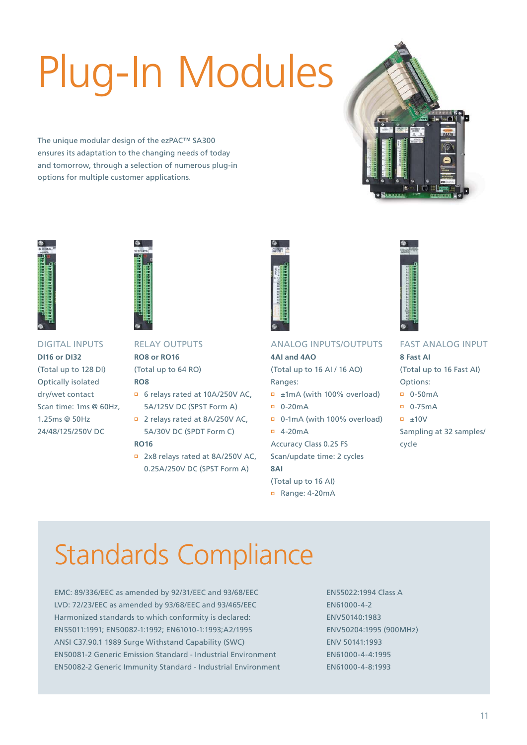# Plug-In Modules

The unique modular design of the ezPAC™ SA300 ensures its adaptation to the changing needs of today and tomorrow, through a selection of numerous plug-in options for multiple customer applications.







# DIGITAL INPUTS **DI16 or DI32** (Total up to 128 DI)

Optically isolated dry/wet contact Scan time: 1ms @ 60Hz, 1.25ms @ 50Hz 24/48/125/250V DC

## RELAY OUTPUTS **RO8 or RO16**

(Total up to 64 RO) **RO8**

- 6 relays rated at 10A/250V AC, 5A/125V DC (SPST Form A)
- 2 relays rated at 8A/250V AC, 5A/30V DC (SPDT Form C) **RO16**
- 2x8 relays rated at 8A/250V AC, 0.25A/250V DC (SPST Form A)



# ANALOG INPUTS/OUTPUTS

**4AI and 4AO** (Total up to 16 AI / 16 AO)

- Ranges: ±1mA (with 100% overload)
- 0-20mA
- 0-1mA (with 100% overload)
- 4-20mA

Accuracy Class 0.2S FS Scan/update time: 2 cycles **8AI**

- (Total up to 16 AI)
- Range: 4-20mA



# FAST ANALOG INPUT **8 Fast AI**

- (Total up to 16 Fast AI) Options:
- 0-50mA
- 0-75mA
- $\overline{p}$   $\pm 10V$
- Sampling at 32 samples/ cycle

# Standards Compliance

EMC: 89/336/EEC as amended by 92/31/EEC and 93/68/EEC LVD: 72/23/EEC as amended by 93/68/EEC and 93/465/EEC Harmonized standards to which conformity is declared: EN55011:1991; EN50082-1:1992; EN61010-1:1993;A2/1995 ANSI C37.90.1 1989 Surge Withstand Capability (SWC) EN50081-2 Generic Emission Standard - Industrial Environment EN50082-2 Generic Immunity Standard - Industrial Environment EN55022:1994 Class A EN61000-4-2 ENV50140:1983 ENV50204:1995 (900MHz) ENV 50141:1993 EN61000-4-4:1995 EN61000-4-8:1993